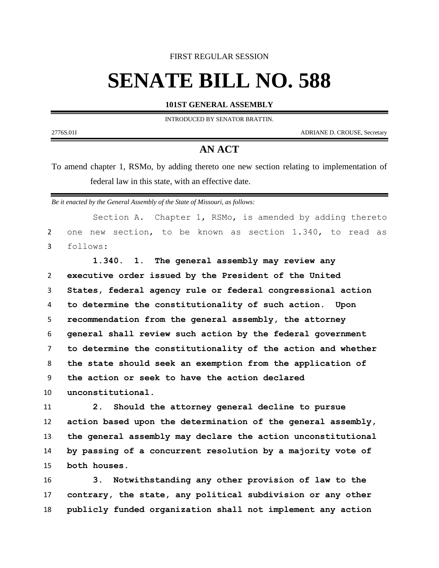## FIRST REGULAR SESSION

## **SENATE BILL NO. 588**

## **101ST GENERAL ASSEMBLY**

INTRODUCED BY SENATOR BRATTIN.

2776S.01I ADRIANE D. CROUSE, Secretary

## **AN ACT**

To amend chapter 1, RSMo, by adding thereto one new section relating to implementation of federal law in this state, with an effective date.

*Be it enacted by the General Assembly of the State of Missouri, as follows:*

Section A. Chapter 1, RSMo, is amended by adding thereto one new section, to be known as section 1.340, to read as follows:

 **1.340. 1. The general assembly may review any executive order issued by the President of the United States, federal agency rule or federal congressional action to determine the constitutionality of such action. Upon recommendation from the general assembly, the attorney general shall review such action by the federal government to determine the constitutionality of the action and whether the state should seek an exemption from the application of the action or seek to have the action declared unconstitutional.**

 **2. Should the attorney general decline to pursue action based upon the determination of the general assembly, the general assembly may declare the action unconstitutional by passing of a concurrent resolution by a majority vote of both houses.**

 **3. Notwithstanding any other provision of law to the contrary, the state, any political subdivision or any other publicly funded organization shall not implement any action**